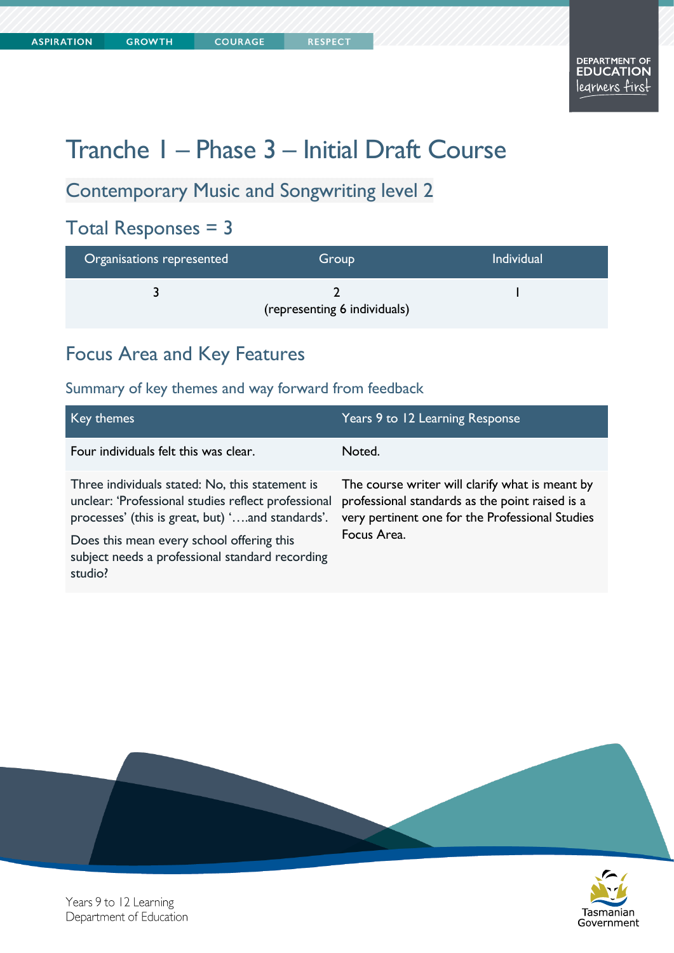# Tranche 1 – Phase 3 – Initial Draft Course

# Contemporary Music and Songwriting level 2

**COURAGE** 

# Total Responses = 3

| Organisations represented | Group                        | <b>Individual</b> |
|---------------------------|------------------------------|-------------------|
|                           | (representing 6 individuals) |                   |

### Focus Area and Key Features

#### Summary of key themes and way forward from feedback

| Key themes                                                                                                                                                                                                                                                            | Years 9 to 12 Learning Response                                                                                                                                      |
|-----------------------------------------------------------------------------------------------------------------------------------------------------------------------------------------------------------------------------------------------------------------------|----------------------------------------------------------------------------------------------------------------------------------------------------------------------|
| Four individuals felt this was clear.                                                                                                                                                                                                                                 | Noted.                                                                                                                                                               |
| Three individuals stated: No, this statement is<br>unclear: 'Professional studies reflect professional<br>processes' (this is great, but) 'and standards'.<br>Does this mean every school offering this<br>subject needs a professional standard recording<br>studio? | The course writer will clarify what is meant by<br>professional standards as the point raised is a<br>very pertinent one for the Professional Studies<br>Focus Area. |



Years 9 to 12 Learning Department of Education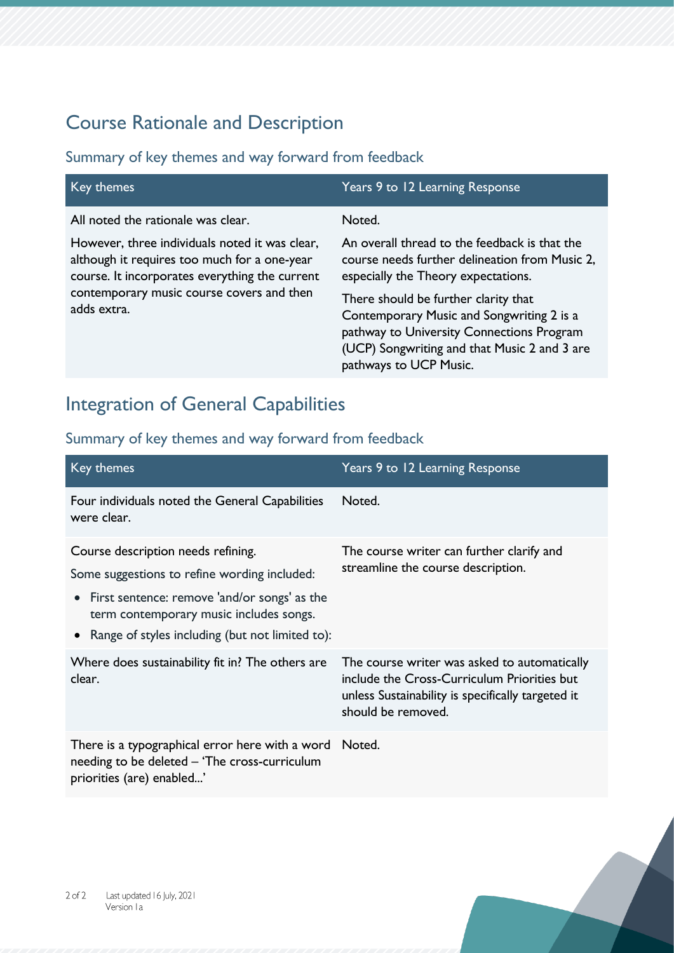# Course Rationale and Description

#### Summary of key themes and way forward from feedback

| Key themes                                                                                                                                                                                                                                         | Years 9 to 12 Learning Response                                                                                                                                                                                                                                                                                                                              |
|----------------------------------------------------------------------------------------------------------------------------------------------------------------------------------------------------------------------------------------------------|--------------------------------------------------------------------------------------------------------------------------------------------------------------------------------------------------------------------------------------------------------------------------------------------------------------------------------------------------------------|
| All noted the rationale was clear.<br>However, three individuals noted it was clear,<br>although it requires too much for a one-year<br>course. It incorporates everything the current<br>contemporary music course covers and then<br>adds extra. | Noted.<br>An overall thread to the feedback is that the<br>course needs further delineation from Music 2,<br>especially the Theory expectations.<br>There should be further clarity that<br>Contemporary Music and Songwriting 2 is a<br>pathway to University Connections Program<br>(UCP) Songwriting and that Music 2 and 3 are<br>pathways to UCP Music. |

### Integration of General Capabilities

| Key themes                                                                                                                                                                                                                           | Years 9 to 12 Learning Response                                                                                                                                        |
|--------------------------------------------------------------------------------------------------------------------------------------------------------------------------------------------------------------------------------------|------------------------------------------------------------------------------------------------------------------------------------------------------------------------|
| Four individuals noted the General Capabilities<br>were clear.                                                                                                                                                                       | Noted.                                                                                                                                                                 |
| Course description needs refining.<br>Some suggestions to refine wording included:<br>• First sentence: remove 'and/or songs' as the<br>term contemporary music includes songs.<br>• Range of styles including (but not limited to): | The course writer can further clarify and<br>streamline the course description.                                                                                        |
| Where does sustainability fit in? The others are<br>clear.                                                                                                                                                                           | The course writer was asked to automatically<br>include the Cross-Curriculum Priorities but<br>unless Sustainability is specifically targeted it<br>should be removed. |
| There is a typographical error here with a word Noted.<br>needing to be deleted – 'The cross-curriculum<br>priorities (are) enabled'                                                                                                 |                                                                                                                                                                        |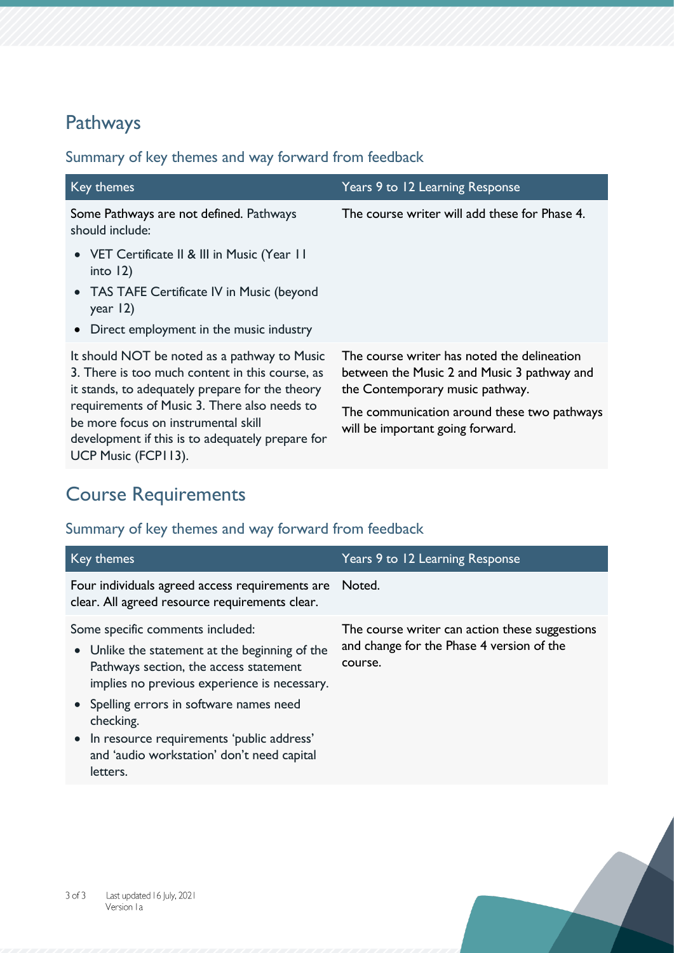# Pathways

#### Summary of key themes and way forward from feedback

| Key themes                                                                                                                                                                                                                                                                                                           | Years 9 to 12 Learning Response                                                                                                                                                                                  |
|----------------------------------------------------------------------------------------------------------------------------------------------------------------------------------------------------------------------------------------------------------------------------------------------------------------------|------------------------------------------------------------------------------------------------------------------------------------------------------------------------------------------------------------------|
| Some Pathways are not defined. Pathways<br>should include:                                                                                                                                                                                                                                                           | The course writer will add these for Phase 4.                                                                                                                                                                    |
| • VET Certificate II & III in Music (Year 11<br>into $12$ )<br>• TAS TAFE Certificate IV in Music (beyond<br>year $ 2$ )<br>• Direct employment in the music industry                                                                                                                                                |                                                                                                                                                                                                                  |
| It should NOT be noted as a pathway to Music<br>3. There is too much content in this course, as<br>it stands, to adequately prepare for the theory<br>requirements of Music 3. There also needs to<br>be more focus on instrumental skill<br>development if this is to adequately prepare for<br>UCP Music (FCP113). | The course writer has noted the delineation<br>between the Music 2 and Music 3 pathway and<br>the Contemporary music pathway.<br>The communication around these two pathways<br>will be important going forward. |

# Course Requirements

| Key themes                                                                                                                                                                                                                                                                                                                                     | Years 9 to 12 Learning Response                                                                        |
|------------------------------------------------------------------------------------------------------------------------------------------------------------------------------------------------------------------------------------------------------------------------------------------------------------------------------------------------|--------------------------------------------------------------------------------------------------------|
| Four individuals agreed access requirements are<br>clear. All agreed resource requirements clear.                                                                                                                                                                                                                                              | Noted.                                                                                                 |
| Some specific comments included:<br>• Unlike the statement at the beginning of the<br>Pathways section, the access statement<br>implies no previous experience is necessary.<br>• Spelling errors in software names need<br>checking.<br>• In resource requirements 'public address'<br>and 'audio workstation' don't need capital<br>letters. | The course writer can action these suggestions<br>and change for the Phase 4 version of the<br>course. |
|                                                                                                                                                                                                                                                                                                                                                |                                                                                                        |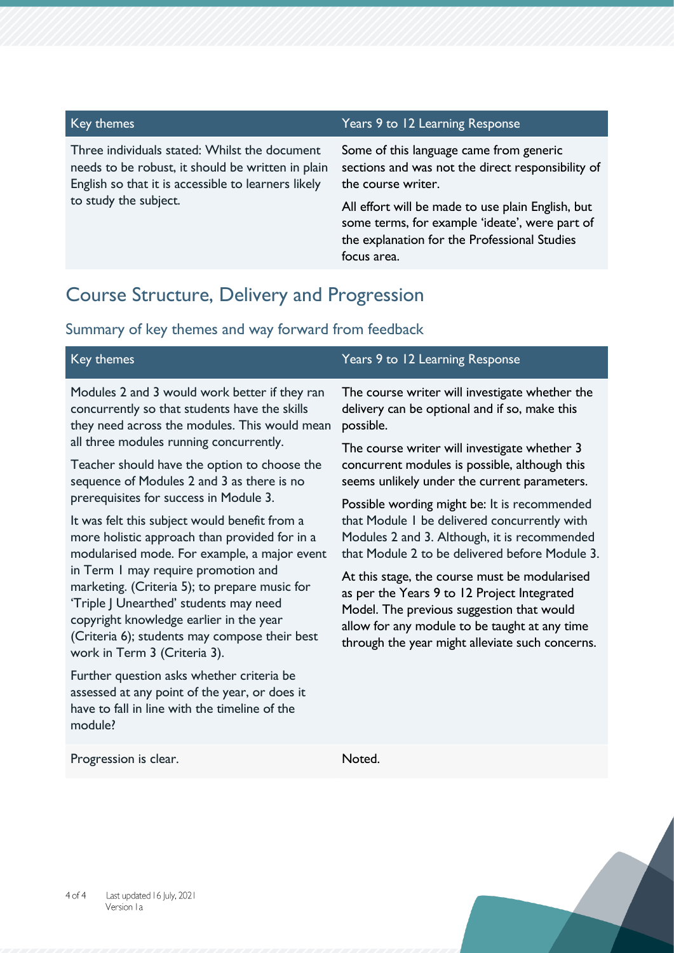Three individuals stated: Whilst the document needs to be robust, it should be written in plain English so that it is accessible to learners likely to study the subject.

#### Key themes Years 9 to 12 Learning Response

Some of this language came from generic sections and was not the direct responsibility of the course writer.

All effort will be made to use plain English, but some terms, for example 'ideate', were part of the explanation for the Professional Studies focus area.

through the year might alleviate such concerns.

### Course Structure, Delivery and Progression

#### Summary of key themes and way forward from feedback

| Key themes                                    | Years 9 to 12 Learning Response                |
|-----------------------------------------------|------------------------------------------------|
| Modules 2 and 3 would work better if they ran | The course writer will investigate whether the |
| concurrently so that students have the skills | delivery can be optional and if so, make this  |
| they need across the modules. This would mean | possible.                                      |
| all three modules running concurrently.       | The course writer will investigate whether 3   |
| Teacher should have the option to choose the  | concurrent modules is possible, although this  |
| sequence of Modules 2 and 3 as there is no    | seems unlikely under the current parameters.   |
| prerequisites for success in Module 3.        | Possible wording might be: It is recommended   |
| It was felt this subject would benefit from a | that Module I be delivered concurrently with   |
| more holistic approach than provided for in a | Modules 2 and 3. Although, it is recommended   |
| modularised mode. For example, a major event  | that Module 2 to be delivered before Module 3. |
| in Term I may require promotion and           | At this stage, the course must be modularised  |
| marketing. (Criteria 5); to prepare music for | as per the Years 9 to 12 Project Integrated    |
| 'Triple J Unearthed' students may need        | Model. The previous suggestion that would      |
| copyright knowledge earlier in the year       | allow for any module to be taught at any time  |

(Criteria 6); students may compose their best work in Term 3 (Criteria 3).

Further question asks whether criteria be assessed at any point of the year, or does it have to fall in line with the timeline of the module?

Progression is clear. Noted.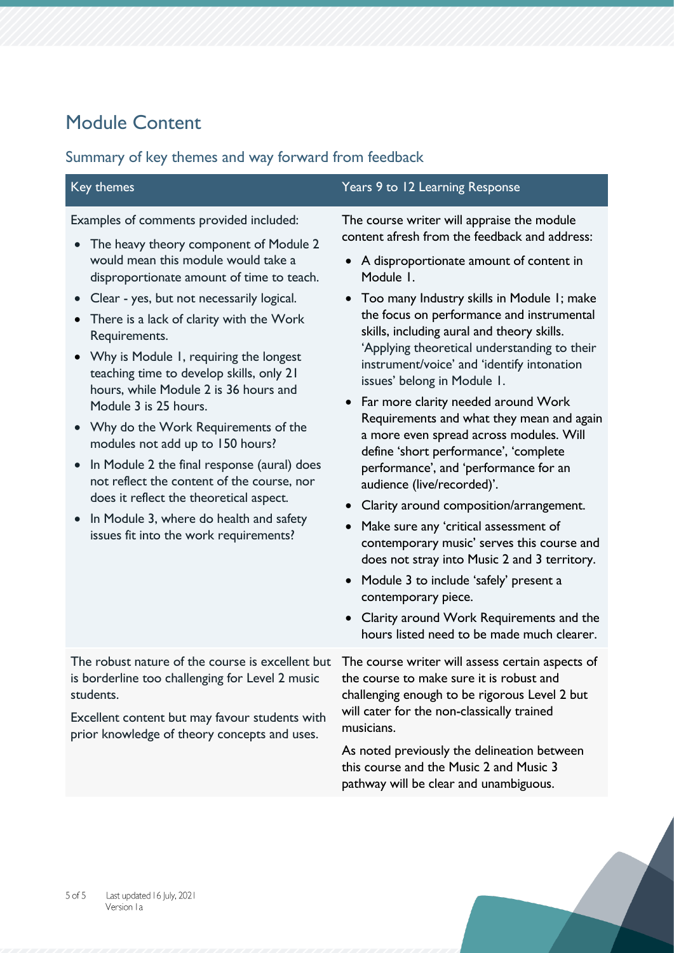# Module Content

| Key themes                                                                                                                                                                                                                                                                                                                                                                                                                                                                                                                                                                                                                                                                                                                                          | Years 9 to 12 Learning Response                                                                                                                                                                                                                                                                                                                                                                                                                                                                                                                                                                                                                                                                                                                                                                                                                                                                                                                                                                                             |
|-----------------------------------------------------------------------------------------------------------------------------------------------------------------------------------------------------------------------------------------------------------------------------------------------------------------------------------------------------------------------------------------------------------------------------------------------------------------------------------------------------------------------------------------------------------------------------------------------------------------------------------------------------------------------------------------------------------------------------------------------------|-----------------------------------------------------------------------------------------------------------------------------------------------------------------------------------------------------------------------------------------------------------------------------------------------------------------------------------------------------------------------------------------------------------------------------------------------------------------------------------------------------------------------------------------------------------------------------------------------------------------------------------------------------------------------------------------------------------------------------------------------------------------------------------------------------------------------------------------------------------------------------------------------------------------------------------------------------------------------------------------------------------------------------|
| Examples of comments provided included:<br>The heavy theory component of Module 2<br>would mean this module would take a<br>disproportionate amount of time to teach.<br>Clear - yes, but not necessarily logical.<br>There is a lack of clarity with the Work<br>Requirements.<br>• Why is Module 1, requiring the longest<br>teaching time to develop skills, only 21<br>hours, while Module 2 is 36 hours and<br>Module 3 is 25 hours.<br>• Why do the Work Requirements of the<br>modules not add up to 150 hours?<br>In Module 2 the final response (aural) does<br>not reflect the content of the course, nor<br>does it reflect the theoretical aspect.<br>In Module 3, where do health and safety<br>issues fit into the work requirements? | The course writer will appraise the module<br>content afresh from the feedback and address:<br>A disproportionate amount of content in<br>Module 1.<br>• Too many Industry skills in Module 1; make<br>the focus on performance and instrumental<br>skills, including aural and theory skills.<br>'Applying theoretical understanding to their<br>instrument/voice' and 'identify intonation<br>issues' belong in Module 1.<br>• Far more clarity needed around Work<br>Requirements and what they mean and again<br>a more even spread across modules. Will<br>define 'short performance', 'complete<br>performance', and 'performance for an<br>audience (live/recorded)'.<br>Clarity around composition/arrangement.<br>Make sure any 'critical assessment of<br>contemporary music' serves this course and<br>does not stray into Music 2 and 3 territory.<br>Module 3 to include 'safely' present a<br>contemporary piece.<br>• Clarity around Work Requirements and the<br>hours listed need to be made much clearer. |
| The robust nature of the course is excellent but The course writer will assess certain aspects of<br>is borderline too challenging for Level 2 music<br>students.<br>Excellent content but may favour students with<br>prior knowledge of theory concepts and uses.                                                                                                                                                                                                                                                                                                                                                                                                                                                                                 | the course to make sure it is robust and<br>challenging enough to be rigorous Level 2 but<br>will cater for the non-classically trained<br>musicians.<br>As noted previously the delineation between<br>this course and the Music 2 and Music 3<br>pathway will be clear and unambiguous.                                                                                                                                                                                                                                                                                                                                                                                                                                                                                                                                                                                                                                                                                                                                   |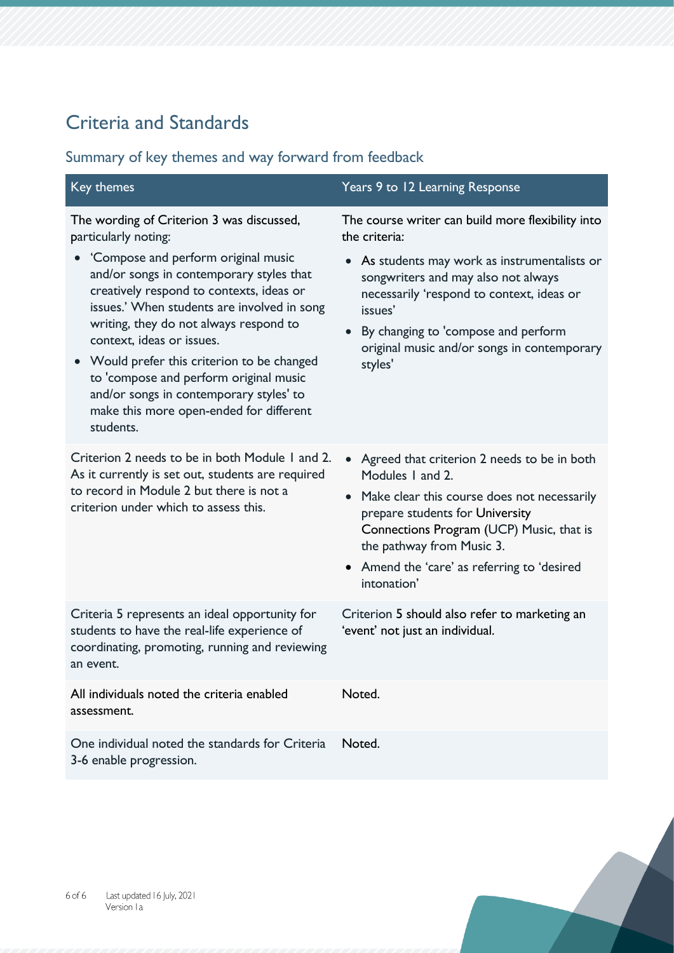# Criteria and Standards

| Key themes                                                                                                                                                                                                                                                                                                                                                                                                                                                                                                         | Years 9 to 12 Learning Response                                                                                                                                                                                                                                                                                     |
|--------------------------------------------------------------------------------------------------------------------------------------------------------------------------------------------------------------------------------------------------------------------------------------------------------------------------------------------------------------------------------------------------------------------------------------------------------------------------------------------------------------------|---------------------------------------------------------------------------------------------------------------------------------------------------------------------------------------------------------------------------------------------------------------------------------------------------------------------|
| The wording of Criterion 3 was discussed,<br>particularly noting:<br>'Compose and perform original music<br>and/or songs in contemporary styles that<br>creatively respond to contexts, ideas or<br>issues.' When students are involved in song<br>writing, they do not always respond to<br>context, ideas or issues.<br>• Would prefer this criterion to be changed<br>to 'compose and perform original music<br>and/or songs in contemporary styles' to<br>make this more open-ended for different<br>students. | The course writer can build more flexibility into<br>the criteria:<br>• As students may work as instrumentalists or<br>songwriters and may also not always<br>necessarily 'respond to context, ideas or<br>issues'<br>By changing to 'compose and perform<br>original music and/or songs in contemporary<br>styles' |
| Criterion 2 needs to be in both Module 1 and 2.<br>As it currently is set out, students are required<br>to record in Module 2 but there is not a<br>criterion under which to assess this.                                                                                                                                                                                                                                                                                                                          | • Agreed that criterion 2 needs to be in both<br>Modules 1 and 2.<br>Make clear this course does not necessarily<br>prepare students for University<br>Connections Program (UCP) Music, that is<br>the pathway from Music 3.<br>• Amend the 'care' as referring to 'desired<br>intonation'                          |
| Criteria 5 represents an ideal opportunity for<br>students to have the real-life experience of<br>coordinating, promoting, running and reviewing<br>an event.                                                                                                                                                                                                                                                                                                                                                      | Criterion 5 should also refer to marketing an<br>'event' not just an individual.                                                                                                                                                                                                                                    |
| All individuals noted the criteria enabled<br>assessment.                                                                                                                                                                                                                                                                                                                                                                                                                                                          | Noted.                                                                                                                                                                                                                                                                                                              |
| One individual noted the standards for Criteria<br>3-6 enable progression.                                                                                                                                                                                                                                                                                                                                                                                                                                         | Noted.                                                                                                                                                                                                                                                                                                              |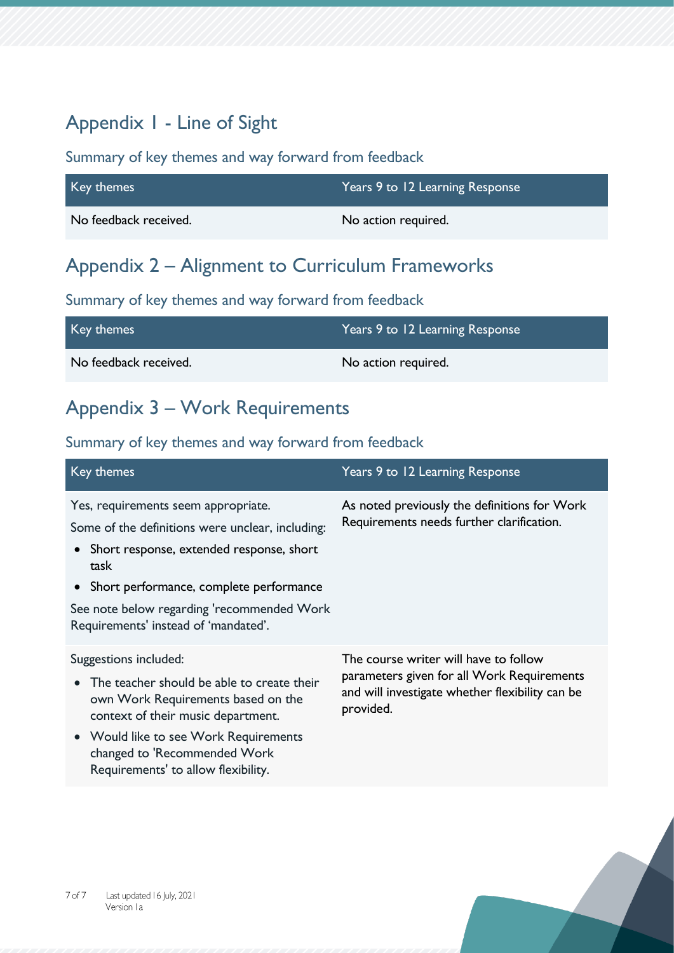# Appendix 1 - Line of Sight

#### Summary of key themes and way forward from feedback

| Key themes            | Years 9 to 12 Learning Response |
|-----------------------|---------------------------------|
| No feedback received. | No action required.             |

# Appendix 2 – Alignment to Curriculum Frameworks

#### Summary of key themes and way forward from feedback

| Key themes            | Years 9 to 12 Learning Response ' |
|-----------------------|-----------------------------------|
| No feedback received. | No action required.               |

# Appendix 3 – Work Requirements

| Key themes                                                                                                                                                                                                                                                                       | Years 9 to 12 Learning Response                                                                                                                     |
|----------------------------------------------------------------------------------------------------------------------------------------------------------------------------------------------------------------------------------------------------------------------------------|-----------------------------------------------------------------------------------------------------------------------------------------------------|
| Yes, requirements seem appropriate.<br>Some of the definitions were unclear, including:<br>• Short response, extended response, short<br>task<br>• Short performance, complete performance<br>See note below regarding 'recommended Work<br>Requirements' instead of 'mandated'. | As noted previously the definitions for Work<br>Requirements needs further clarification.                                                           |
| Suggestions included:<br>The teacher should be able to create their<br>own Work Requirements based on the<br>context of their music department.<br>• Would like to see Work Requirements<br>changed to 'Recommended Work<br>Requirements' to allow flexibility.                  | The course writer will have to follow<br>parameters given for all Work Requirements<br>and will investigate whether flexibility can be<br>provided. |